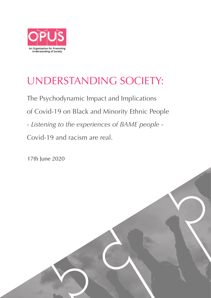

# UNDERSTANDING SOCIETY:

The Psychodynamic Impact and Implications of Covid-19 on Black and Minority Ethnic People - *Listening to the experiences of BAME people* - Covid-19 and racism are real.

17th June 2020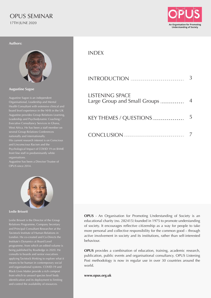## OPUS SEMINAR 17TH JUNE 2020



**Authors:**



**Augustine Sagoe**

Augustine Sagoe is an independent Organisational, Leadership and Mental Augustine provides Group Relations Learning, several Group Relations Conferences nationally and internationally. His current research interest is on Conscious and Unconscious Racism and the Psychological Impact of COVID 19 on BAME organisations.

Augustine has been a Director/ Trustee of OPUS since 2014.



#### **Leslie Brissett**

Leslie Brissett is the Director of the Group Relations Programme, Company Secretary and Principal Consultant Researcher at the Institute's Dynamics at Board Level programme, from which an edited volume is  $\widetilde{\mathsf{b}}$ ng published by Routledge in 2020. He applying Tavistock thinking to explore what it and organisational systems. COVID-19 and Black Lives Matter provide a rich compost identification and its deployment to limiting and control the availability of resources.

### INDEX

| INTRODUCTION                                           | 3              |
|--------------------------------------------------------|----------------|
| <b>LISTENING SPACE</b><br>Large Group and Small Groups | $\overline{4}$ |
| KEY THEMES / QUESTIONS                                 | 5              |
| CONCLUSION                                             |                |

**OPUS** - An Organisation for Promoting Understanding of Society is an educational charity (no. 282415) founded in 1975 to promote understanding of society. It encourages reflective citizenship as a way for people to take more personal and collective responsibility for the common good – through active involvement in society and its institutions, rather than self-interested behaviour.

**OPUS** provides a combination of education, training, academic research, publication, public events and organisational consultancy. OPUS Listening Post methodology is now in regular use in over 30 countries around the world.

**www.opus.org.uk**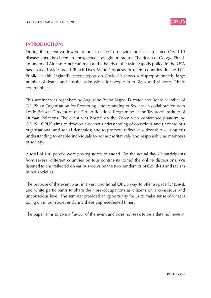

#### **INTRODUCTION:**

Public Health England's <u>recent report</u> on Covid-19 shows a disproportionately large During the recent worldwide outbreak of the Coronavirus and its associated Covid-19 disease, there has been an unexpected spotlight on racism. The death of George Floyd, an unarmed African-American man at the hands of the Minneapolis police in the USA has sparked widespread 'Black Lives Matter' protests in many countries. In the UK, number of deaths and hospital admissions for people from Black and Minority Ethnic communities.

This seminar was organised by Augustine Paapa Sagoe, Director and Board Member of OPUS: an Organisation for Promoting Understanding of Society, in collaboration with Leslie Brissett Director of the Group Relations Programme at the Tavistock Institute of Human Relations. The event was hosted on the Zoom web conference platform by OPUS. OPUS aims to develop a deeper understanding of conscious and unconscious organisational and social dynamics; and to promote reflective citizenship – using this understanding to enable individuals to act authoritatively and responsibly as members of society.

A total of 100 people were pre-registered to attend. On the actual day 77 participants from several different countries on four continents joined the online discussions. We listened to and reflected on various views on the two pandemics of Covid-19 and racism in our societies.

The purpose of the event was, in a very traditional OPUS way, to offer a space for BAME and white participants to share their pre-occupations as citizens on a conscious and unconscious level. The seminar provided an opportunity for us to make sense of what is going on in our societies during these unprecedented times.

The paper aims to give a flavour of the event and does not seek to be a detailed review.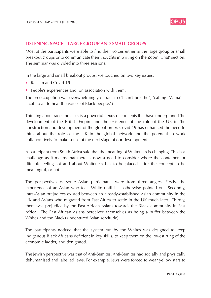![](_page_3_Picture_1.jpeg)

#### **LISTENING SPACE – LARGE GROUP AND SMALL GROUPS**

Most of the participants were able to find their voices either in the large group or small breakout groups or to communicate their thoughts in writing on the Zoom 'Chat' section. The seminar was divided into three sessions.

In the large and small breakout groups, we touched on two key issues:

- Racism and Covid-19
- People's experiences and, or, association with them.

The preoccupation was overwhelmingly on racism ("I can't breathe"; 'calling 'Mama' is a call to all to hear the voices of Black people.")

Thinking about race and class is a powerful nexus of concepts that have underpinned the development of the British Empire and the existence of the role of the UK in the construction and development of the global order. Covid-19 has enhanced the need to think about the role of the UK in the global network and the potential to work collaboratively to make sense of the next stage of our development.

A participant from South Africa said that the meaning of Whiteness is changing. This is a challenge as it means that there is now a need to consider where the container for difficult feelings of and about Whiteness has to be placed – for the concept to be meaningful, or not.

The perspectives of some Asian participants were from three angles. Firstly, the experience of an Asian who feels White until it is otherwise pointed out. Secondly, intra-Asian prejudices existed between an already-established Asian community in the UK and Asians who migrated from East Africa to settle in the UK much later. Thirdly, there was prejudice by the East African Asians towards the Black community in East Africa. The East African Asians perceived themselves as being a buffer between the Whites and the Blacks (indentured Asian servitude).

The participants noticed that the system run by the Whites was designed to keep indigenous Black Africans deficient in key skills, to keep them on the lowest rung of the economic ladder, and denigrated.

The Jewish perspective was that of Anti-Semites. Anti-Semites had socially and physically dehumanised and labelled Jews. For example, Jews were forced to wear yellow stars to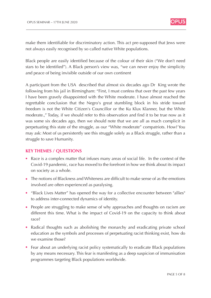![](_page_4_Picture_1.jpeg)

make them identifiable for discriminatory action. This act pre-supposed that Jews were not always easily recognised by so called native White populations.

Black people are easily identified because of the colour of their skin ("We don't need stars to be identified"). A Black person's view was, "we can never enjoy the simplicity and peace of being invisible outside of our own continent

A participant from the USA described that almost six decades ago Dr King wrote the following from his jail in Birmingham: "First, I must confess that over the past few years I have been gravely disappointed with the White moderate. I have almost reached the regrettable conclusion that the Negro's great stumbling block in his stride toward freedom is not the White Citizen's Councillor or the Ku Klux Klanner, but the White moderate.," Today, if we should refer to this observation and find it to be true now as it was some six decades ago, then we should note that we are all as much complicit in perpetuating this state of the struggle, as our "White moderate" compatriots. How? You may ask: Most of us persistently see this struggle solely as a Black struggle, rather than a struggle to save Humanity.

#### **KEY THEMES / QUESTIONS**

- Race is a complex matter that infuses many areas of social life. In the context of the Covid-19 pandemic, race has moved to the forefront in how we think about its impact on society as a whole.
- The notions of Blackness and Whiteness are difficult to make sense of as the emotions involved are often experienced as paralysing.
- "Black Lives Matter" has opened the way for a collective encounter between "allies" to address inter-connected dynamics of identity.
- People are struggling to make sense of why approaches and thoughts on racism are different this time. What is the impact of Covid-19 on the capacity to think about race?
- Radical thoughts such as abolishing the monarchy and eradicating private school education as the symbols and processes of perpetuating racist thinking exist, how do we examine those?
- Fear about an underlying racist policy systematically to eradicate Black populations by any means necessary. This fear is manifesting as a deep suspicion of immunisation programmes targeting Black populations worldwide.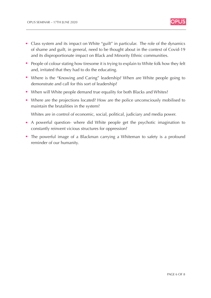![](_page_5_Picture_1.jpeg)

- Class system and its impact on White "guilt" in particular. The role of the dynamics of shame and guilt, in general, need to be thought about in the context of Covid-19 and its disproportionate impact on Black and Minority Ethnic communities.
- People of colour stating how tiresome it is trying to explain to White folk how they felt and, irritated that they had to do the educating.
- Where is the "Knowing and Caring" leadership? When are White people going to demonstrate and call for this sort of leadership?
- When will White people demand true equality for both Blacks and Whites?
- Where are the projections located? How are the police unconsciously mobilised to maintain the brutalities in the system?

Whites are in control of economic, social, political, judiciary and media power.

- A powerful question- where did White people get the psychotic imagination to constantly reinvent vicious structures for oppression?
- The powerful image of a Blackman carrying a Whiteman to safety is a profound reminder of our humanity.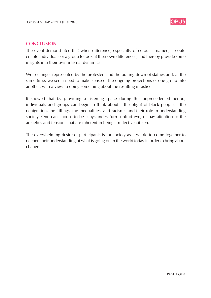![](_page_6_Picture_1.jpeg)

#### **CONCLUSION**

The event demonstrated that when difference, especially of colour is named, it could enable individuals or a group to look at their own differences, and thereby provide some insights into their own internal dynamics.

We see anger represented by the protesters and the pulling down of statues and, at the same time, we see a need to make sense of the ongoing projections of one group into another, with a view to doing something about the resulting injustice.

It showed that by providing a listening space during this unprecedented period, individuals and groups can begin to think about the plight of black people:- the denigration, the killings, the inequalities, and racism; and their role in understanding society. One can choose to be a bystander, turn a blind eye, or pay attention to the anxieties and tensions that are inherent in being a reflective citizen.

The overwhelming desire of participants is for society as a whole to come together to deepen their understanding of what is going on in the world today in order to bring about change.